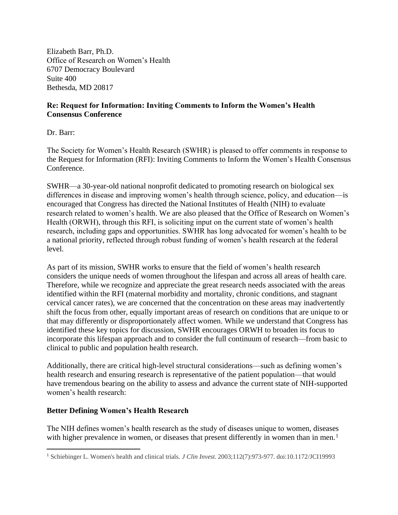Elizabeth Barr, Ph.D. Office of Research on Women's Health 6707 Democracy Boulevard Suite 400 Bethesda, MD 20817

## **Re: Request for Information: Inviting Comments to Inform the Women's Health Consensus Conference**

Dr. Barr:

The Society for Women's Health Research (SWHR) is pleased to offer comments in response to the Request for Information (RFI): Inviting Comments to Inform the Women's Health Consensus Conference.

SWHR—a 30-year-old national nonprofit dedicated to promoting research on biological sex differences in disease and improving women's health through science, policy, and education—is encouraged that Congress has directed the National Institutes of Health (NIH) to evaluate research related to women's health. We are also pleased that the Office of Research on Women's Health (ORWH), through this RFI, is soliciting input on the current state of women's health research, including gaps and opportunities. SWHR has long advocated for women's health to be a national priority, reflected through robust funding of women's health research at the federal level.

As part of its mission, SWHR works to ensure that the field of women's health research considers the unique needs of women throughout the lifespan and across all areas of health care. Therefore, while we recognize and appreciate the great research needs associated with the areas identified within the RFI (maternal morbidity and mortality, chronic conditions, and stagnant cervical cancer rates), we are concerned that the concentration on these areas may inadvertently shift the focus from other, equally important areas of research on conditions that are unique to or that may differently or disproportionately affect women. While we understand that Congress has identified these key topics for discussion, SWHR encourages ORWH to broaden its focus to incorporate this lifespan approach and to consider the full continuum of research—from basic to clinical to public and population health research.

Additionally, there are critical high-level structural considerations—such as defining women's health research and ensuring research is representative of the patient population—that would have tremendous bearing on the ability to assess and advance the current state of NIH-supported women's health research:

## **Better Defining Women's Health Research**

The NIH defines women's health research as the study of diseases unique to women, diseases with higher prevalence in women, or diseases that present differently in women than in men.<sup>1</sup>

<sup>1</sup> Schiebinger L. Women's health and clinical trials. *J Clin Invest*. 2003;112(7):973-977. doi:10.1172/JCI19993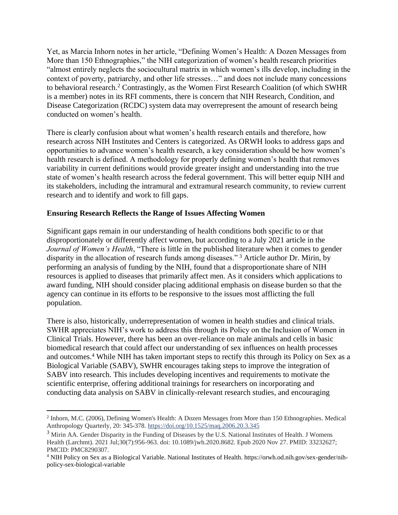Yet, as Marcia Inhorn notes in her article, "Defining Women's Health: A Dozen Messages from More than 150 Ethnographies," the NIH categorization of women's health research priorities "almost entirely neglects the sociocultural matrix in which women's ills develop, including in the context of poverty, patriarchy, and other life stresses…" and does not include many concessions to behavioral research.<sup>2</sup> Contrastingly, as the Women First Research Coalition (of which SWHR is a member) notes in its RFI comments, there is concern that NIH Research, Condition, and Disease Categorization (RCDC) system data may overrepresent the amount of research being conducted on women's health.

There is clearly confusion about what women's health research entails and therefore, how research across NIH Institutes and Centers is categorized. As ORWH looks to address gaps and opportunities to advance women's health research, a key consideration should be how women's health research is defined. A methodology for properly defining women's health that removes variability in current definitions would provide greater insight and understanding into the true state of women's health research across the federal government. This will better equip NIH and its stakeholders, including the intramural and extramural research community, to review current research and to identify and work to fill gaps.

## **Ensuring Research Reflects the Range of Issues Affecting Women**

Significant gaps remain in our understanding of health conditions both specific to or that disproportionately or differently affect women, but according to a July 2021 article in the *Journal of Women's Health*, "There is little in the published literature when it comes to gender disparity in the allocation of research funds among diseases." <sup>3</sup> Article author Dr. Mirin, by performing an analysis of funding by the NIH, found that a disproportionate share of NIH resources is applied to diseases that primarily affect men. As it considers which applications to award funding, NIH should consider placing additional emphasis on disease burden so that the agency can continue in its efforts to be responsive to the issues most afflicting the full population.

There is also, historically, underrepresentation of women in health studies and clinical trials. SWHR appreciates NIH's work to address this through its Policy on the Inclusion of Women in Clinical Trials. However, there has been an over-reliance on male animals and cells in basic biomedical research that could affect our understanding of sex influences on health processes and outcomes.<sup>4</sup> While NIH has taken important steps to rectify this through its Policy on Sex as a Biological Variable (SABV), SWHR encourages taking steps to improve the integration of SABV into research. This includes developing incentives and requirements to motivate the scientific enterprise, offering additional trainings for researchers on incorporating and conducting data analysis on SABV in clinically-relevant research studies, and encouraging

<sup>&</sup>lt;sup>2</sup> Inhorn, M.C. (2006), Defining Women's Health: A Dozen Messages from More than 150 Ethnographies. Medical Anthropology Quarterly, 20: 345-378. <https://doi.org/10.1525/maq.2006.20.3.345>

<sup>&</sup>lt;sup>3</sup> Mirin AA. Gender Disparity in the Funding of Diseases by the U.S. National Institutes of Health. J Womens Health (Larchmt). 2021 Jul;30(7):956-963. doi: 10.1089/jwh.2020.8682. Epub 2020 Nov 27. PMID: 33232627; PMCID: PMC8290307.

<sup>4</sup> NIH Policy on Sex as a Biological Variable. National Institutes of Health. https://orwh.od.nih.gov/sex-gender/nihpolicy-sex-biological-variable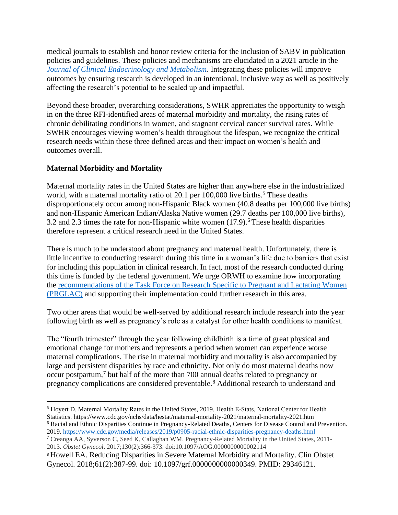medical journals to establish and honor review criteria for the inclusion of SABV in publication policies and guidelines. These policies and mechanisms are elucidated in a 2021 article in the *[Journal of Clinical Endocrinology and Metabolism](https://pubmed.ncbi.nlm.nih.gov/34137862/)*. Integrating these policies will improve outcomes by ensuring research is developed in an intentional, inclusive way as well as positively affecting the research's potential to be scaled up and impactful.

Beyond these broader, overarching considerations, SWHR appreciates the opportunity to weigh in on the three RFI-identified areas of maternal morbidity and mortality, the rising rates of chronic debilitating conditions in women, and stagnant cervical cancer survival rates. While SWHR encourages viewing women's health throughout the lifespan, we recognize the critical research needs within these three defined areas and their impact on women's health and outcomes overall.

# **Maternal Morbidity and Mortality**

Maternal mortality rates in the United States are higher than anywhere else in the industrialized world, with a maternal mortality ratio of 20.1 per  $100,000$  live births.<sup>5</sup> These deaths disproportionately occur among non-Hispanic Black women (40.8 deaths per 100,000 live births) and non-Hispanic American Indian/Alaska Native women (29.7 deaths per 100,000 live births), 3.2 and 2.3 times the rate for non-Hispanic white women  $(17.9)$ .<sup>6</sup> These health disparities therefore represent a critical research need in the United States.

There is much to be understood about pregnancy and maternal health. Unfortunately, there is little incentive to conducting research during this time in a woman's life due to barriers that exist for including this population in clinical research. In fact, most of the research conducted during this time is funded by the federal government. We urge ORWH to examine how incorporating the [recommendations of the Task Force on Research Specific to Pregnant and Lactating Women](https://www.nichd.nih.gov/about/advisory/PRGLAC/recommendations)  [\(PRGLAC\)](https://www.nichd.nih.gov/about/advisory/PRGLAC/recommendations) and supporting their implementation could further research in this area.

Two other areas that would be well-served by additional research include research into the year following birth as well as pregnancy's role as a catalyst for other health conditions to manifest.

The "fourth trimester" through the year following childbirth is a time of great physical and emotional change for mothers and represents a period when women can experience worse maternal complications. The rise in maternal morbidity and mortality is also accompanied by large and persistent disparities by race and ethnicity. Not only do most maternal deaths now occur postpartum,<sup>7</sup> but half of the more than 700 annual deaths related to pregnancy or pregnancy complications are considered preventable.<sup>8</sup> Additional research to understand and

<sup>5</sup> Hoyert D. Maternal Mortality Rates in the United States, 2019. Health E-Stats, National Center for Health Statistics. https://www.cdc.gov/nchs/data/hestat/maternal-mortality-2021/maternal-mortality-2021.htm

<sup>6</sup> Racial and Ethnic Disparities Continue in Pregnancy-Related Deaths, Centers for Disease Control and Prevention. 2019.<https://www.cdc.gov/media/releases/2019/p0905-racial-ethnic-disparities-pregnancy-deaths.html>

<sup>7</sup> Creanga AA, Syverson C, Seed K, Callaghan WM. Pregnancy-Related Mortality in the United States, 2011- 2013. *Obstet Gynecol*. 2017;130(2):366-373. doi:10.1097/AOG.0000000000002114

<sup>8</sup> Howell EA. Reducing Disparities in Severe Maternal Morbidity and Mortality. Clin Obstet Gynecol. 2018;61(2):387-99. doi: 10.1097/grf.0000000000000349. PMID: 29346121.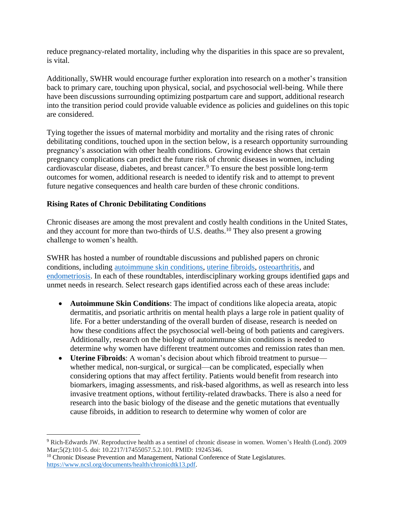reduce pregnancy-related mortality, including why the disparities in this space are so prevalent, is vital.

Additionally, SWHR would encourage further exploration into research on a mother's transition back to primary care, touching upon physical, social, and psychosocial well-being. While there have been discussions surrounding optimizing postpartum care and support, additional research into the transition period could provide valuable evidence as policies and guidelines on this topic are considered.

Tying together the issues of maternal morbidity and mortality and the rising rates of chronic debilitating conditions, touched upon in the section below, is a research opportunity surrounding pregnancy's association with other health conditions. Growing evidence shows that certain pregnancy complications can predict the future risk of chronic diseases in women, including cardiovascular disease, diabetes, and breast cancer.<sup>9</sup> To ensure the best possible long-term outcomes for women, additional research is needed to identify risk and to attempt to prevent future negative consequences and health care burden of these chronic conditions.

### **Rising Rates of Chronic Debilitating Conditions**

Chronic diseases are among the most prevalent and costly health conditions in the United States, and they account for more than two-thirds of U.S. deaths.<sup>10</sup> They also present a growing challenge to women's health.

SWHR has hosted a number of roundtable discussions and published papers on chronic conditions, including [autoimmune skin conditions,](https://swhr.org/event/identifying-knowledge-gaps-and-unmet-needs-in-autoimmune-skin-conditions/) [uterine fibroids,](https://swhr.org/event/assessing-research-gaps-and-unmet-needs-in-uterine-fibroids/) [osteoarthritis,](https://swhr.org/event/chronic-pain-round-table/) and [endometriosis.](https://swhr.org/identifying-barriers-to-care-for-women-with-endometriosis/) In each of these roundtables, interdisciplinary working groups identified gaps and unmet needs in research. Select research gaps identified across each of these areas include:

- **Autoimmune Skin Conditions**: The impact of conditions like alopecia areata, atopic dermatitis, and psoriatic arthritis on mental health plays a large role in patient quality of life. For a better understanding of the overall burden of disease, research is needed on how these conditions affect the psychosocial well-being of both patients and caregivers. Additionally, research on the biology of autoimmune skin conditions is needed to determine why women have different treatment outcomes and remission rates than men.
- **Uterine Fibroids**: A woman's decision about which fibroid treatment to pursue whether medical, non-surgical, or surgical—can be complicated, especially when considering options that may affect fertility. Patients would benefit from research into biomarkers, imaging assessments, and risk-based algorithms, as well as research into less invasive treatment options, without fertility-related drawbacks. There is also a need for research into the basic biology of the disease and the genetic mutations that eventually cause fibroids, in addition to research to determine why women of color are

<sup>9</sup> Rich-Edwards JW. Reproductive health as a sentinel of chronic disease in women. Women's Health (Lond). 2009 Mar;5(2):101-5. doi: 10.2217/17455057.5.2.101. PMID: 19245346.

<sup>&</sup>lt;sup>10</sup> Chronic Disease Prevention and Management, National Conference of State Legislatures. [https://www.ncsl.org/documents/health/chronicdtk13.pdf.](https://www.ncsl.org/documents/health/chronicdtk13.pdf)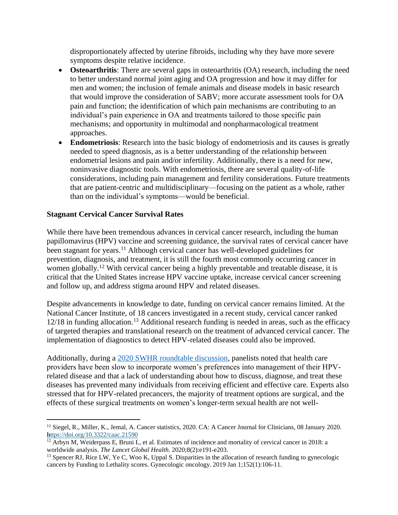disproportionately affected by uterine fibroids, including why they have more severe symptoms despite relative incidence.

- **Osteoarthritis**: There are several gaps in osteoarthritis (OA) research, including the need to better understand normal joint aging and OA progression and how it may differ for men and women; the inclusion of female animals and disease models in basic research that would improve the consideration of SABV; more accurate assessment tools for OA pain and function; the identification of which pain mechanisms are contributing to an individual's pain experience in OA and treatments tailored to those specific pain mechanisms; and opportunity in multimodal and nonpharmacological treatment approaches.
- **Endometriosis:** Research into the basic biology of endometriosis and its causes is greatly needed to speed diagnosis, as is a better understanding of the relationship between endometrial lesions and pain and/or infertility. Additionally, there is a need for new, noninvasive diagnostic tools. With endometriosis, there are several quality-of-life considerations, including pain management and fertility considerations. Future treatments that are patient-centric and multidisciplinary—focusing on the patient as a whole, rather than on the individual's symptoms—would be beneficial.

### **Stagnant Cervical Cancer Survival Rates**

While there have been tremendous advances in cervical cancer research, including the human papillomavirus (HPV) vaccine and screening guidance, the survival rates of cervical cancer have been stagnant for years.<sup>11</sup> Although cervical cancer has well-developed guidelines for prevention, diagnosis, and treatment, it is still the fourth most commonly occurring cancer in women globally.<sup>12</sup> With cervical cancer being a highly preventable and treatable disease, it is critical that the United States increase HPV vaccine uptake, increase cervical cancer screening and follow up, and address stigma around HPV and related diseases.

Despite advancements in knowledge to date, funding on cervical cancer remains limited. At the National Cancer Institute, of 18 cancers investigated in a recent study, cervical cancer ranked 12/18 in funding allocation. <sup>13</sup> Additional research funding is needed in areas, such as the efficacy of targeted therapies and translational research on the treatment of advanced cervical cancer. The implementation of diagnostics to detect HPV-related diseases could also be improved.

Additionally, during a [2020 SWHR roundtable discussion,](https://swhr.org/identifying-barriers-to-prevention-screening-and-treatment-of-hpv-and-related-cancers/) panelists noted that health care providers have been slow to incorporate women's preferences into management of their HPVrelated disease and that a lack of understanding about how to discuss, diagnose, and treat these diseases has prevented many individuals from receiving efficient and effective care. Experts also stressed that for HPV-related precancers, the majority of treatment options are surgical, and the effects of these surgical treatments on women's longer-term sexual health are not well-

<sup>&</sup>lt;sup>11</sup> Siegel, R., Miller, K., Jemal, A. Cancer statistics, 2020. CA: A Cancer Journal for Clinicians, 08 January 2020. **h**[ttps://doi.org/10.3322/caac.21590](https://doi.org/10.3322/caac.21590)

 $12$  Arbyn M, Weiderpass E, Bruni L, et al. Estimates of incidence and mortality of cervical cancer in 2018: a worldwide analysis. *The Lancet Global Health*. 2020;8(2):e191-e203.

<sup>&</sup>lt;sup>13</sup> Spencer RJ, Rice LW, Ye C, Woo K, Uppal S. Disparities in the allocation of research funding to gynecologic cancers by Funding to Lethality scores. Gynecologic oncology. 2019 Jan 1;152(1):106-11.